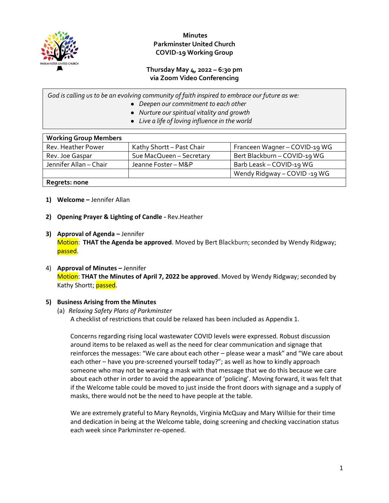

# **Minutes Parkminster United Church COVID-19 Working Group**

## **Thursday May 4, 2022 – 6:30 pm via Zoom Video Conferencing**

*God is calling us to be an evolving community of faith inspired to embrace our future as we:*

- *Deepen our commitment to each other*
- *Nurture our spiritual vitality and growth*
- *Live a life of loving influence in the world*

| <b>Working Group Members</b> |                           |                               |  |
|------------------------------|---------------------------|-------------------------------|--|
| Rev. Heather Power           | Kathy Shortt - Past Chair | Franceen Wagner - COVID-19 WG |  |
| Rev. Joe Gaspar              | Sue MacQueen - Secretary  | Bert Blackburn - COVID-19 WG  |  |
| Jennifer Allan - Chair       | Jeanne Foster - M&P       | Barb Leask - COVID-19 WG      |  |
|                              |                           | Wendy Ridgway - COVID -19 WG  |  |
| Regrets: none                |                           |                               |  |

- **1) Welcome –** Jennifer Allan
- **2) Opening Prayer & Lighting of Candle -** Rev.Heather
- **3) Approval of Agenda –** Jennifer Motion: **THAT the Agenda be approved**. Moved by Bert Blackburn; seconded by Wendy Ridgway; passed.
- 4) **Approval of Minutes –** Jennifer Motion: **THAT the Minutes of April 7, 2022 be approved**. Moved by Wendy Ridgway; seconded by Kathy Shortt; passed.

#### **5) Business Arising from the Minutes**

#### (a) *Relaxing Safety Plans of Parkminster* A checklist of restrictions that could be relaxed has been included as Appendix 1.

Concerns regarding rising local wastewater COVID levels were expressed. Robust discussion around items to be relaxed as well as the need for clear communication and signage that reinforces the messages: "We care about each other – please wear a mask" and "We care about each other – have you pre-screened yourself today?"; as well as how to kindly approach someone who may not be wearing a mask with that message that we do this because we care about each other in order to avoid the appearance of 'policing'. Moving forward, it was felt that if the Welcome table could be moved to just inside the front doors with signage and a supply of masks, there would not be the need to have people at the table.

We are extremely grateful to Mary Reynolds, Virginia McQuay and Mary Willsie for their time and dedication in being at the Welcome table, doing screening and checking vaccination status each week since Parkminster re-opened.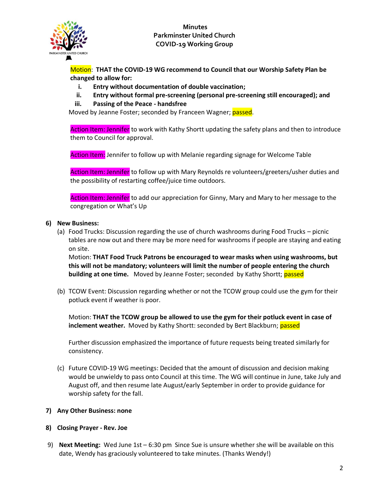

**Minutes Parkminster United Church COVID-19 Working Group**

Motion: **THAT the COVID-19 WG recommend to Council that our Worship Safety Plan be changed to allow for:**

- **i. Entry without documentation of double vaccination;**
- **ii. Entry without formal pre-screening (personal pre-screening still encouraged); and**
- **iii. Passing of the Peace - handsfree**

Moved by Jeanne Foster; seconded by Franceen Wagner; passed.

Action Item: Jennifer to work with Kathy Shortt updating the safety plans and then to introduce them to Council for approval.

Action Item: Jennifer to follow up with Melanie regarding signage for Welcome Table

Action Item: Jennifer to follow up with Mary Reynolds re volunteers/greeters/usher duties and the possibility of restarting coffee/juice time outdoors.

Action Item: Jennifer to add our appreciation for Ginny, Mary and Mary to her message to the congregation or What's Up

#### **6) New Business:**

(a) Food Trucks: Discussion regarding the use of church washrooms during Food Trucks – picnic tables are now out and there may be more need for washrooms if people are staying and eating on site.

Motion: **THAT Food Truck Patrons be encouraged to wear masks when using washrooms, but this will not be mandatory; volunteers will limit the number of people entering the church building at one time.** Moved by Jeanne Foster; seconded by Kathy Shortt; passed

(b) TCOW Event: Discussion regarding whether or not the TCOW group could use the gym for their potluck event if weather is poor.

Motion: **THAT the TCOW group be allowed to use the gym for their potluck event in case of inclement weather.** Moved by Kathy Shortt: seconded by Bert Blackburn; passed

Further discussion emphasized the importance of future requests being treated similarly for consistency.

(c) Future COVID-19 WG meetings: Decided that the amount of discussion and decision making would be unwieldy to pass onto Council at this time. The WG will continue in June, take July and August off, and then resume late August/early September in order to provide guidance for worship safety for the fall.

#### **7) Any Other Business: none**

- **8) Closing Prayer - Rev. Joe**
- 9) **Next Meeting:** Wed June 1st 6:30 pm Since Sue is unsure whether she will be available on this date, Wendy has graciously volunteered to take minutes. (Thanks Wendy!)